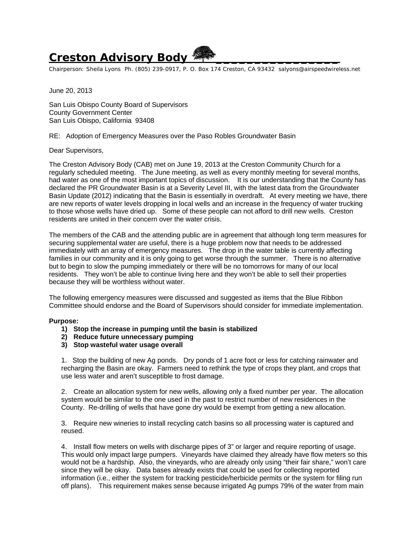## **Creston Advisory Body**

Chairperson: Sheila Lyons Ph. (805) 239-0917, P. O. Box 174 Creston, CA 93432 salyons@airspeedwireless.net

June 20, 2013

San Luis Obispo County Board of Supervisors County Government Center San Luis Obispo, California 93408

RE: Adoption of Emergency Measures over the Paso Robles Groundwater Basin

Dear Supervisors,

The Creston Advisory Body (CAB) met on June 19, 2013 at the Creston Community Church for a regularly scheduled meeting. The June meeting, as well as every monthly meeting for several months, had water as one of the most important topics of discussion. It is our understanding that the County has declared the PR Groundwater Basin is at a Severity Level III, with the latest data from the Groundwater Basin Update (2012) indicating that the Basin is essentially in overdraft. At every meeting we have, there are new reports of water levels dropping in local wells and an increase in the frequency of water trucking to those whose wells have dried up. Some of these people can not afford to drill new wells. Creston residents are united in their concern over the water crisis.

The members of the CAB and the attending public are in agreement that although long term measures for securing supplemental water are useful, there is a huge problem now that needs to be addressed immediately with an array of emergency measures. The drop in the water table is currently affecting families in our community and it is only going to get worse through the summer. There is no alternative but to begin to slow the pumping immediately or there will be no tomorrows for many of our local residents. They won't be able to continue living here and they won't be able to sell their properties because they will be worthless without water.

The following emergency measures were discussed and suggested as items that the Blue Ribbon Committee should endorse and the Board of Supervisors should consider for immediate implementation.

## **Purpose:**

- **1) Stop the increase in pumping until the basin is stabilized**
- **2) Reduce future unnecessary pumping**
- **3) Stop wasteful water usage overall**

1. Stop the building of new Ag ponds. Dry ponds of 1 acre foot or less for catching rainwater and recharging the Basin are okay. Farmers need to rethink the type of crops they plant, and crops that use less water and aren't susceptible to frost damage.

2. Create an allocation system for new wells, allowing only a fixed number per year. The allocation system would be similar to the one used in the past to restrict number of new residences in the County. Re-drilling of wells that have gone dry would be exempt from getting a new allocation.

3. Require new wineries to install recycling catch basins so all processing water is captured and reused.

4. Install flow meters on wells with discharge pipes of 3" or larger and require reporting of usage. This would only impact large pumpers. Vineyards have claimed they already have flow meters so this would not be a hardship. Also, the vineyards, who are already only using "their fair share," won't care since they will be okay. Data bases already exists that could be used for collecting reported information (i.e., either the system for tracking pesticide/herbicide permits or the system for filing run off plans). This requirement makes sense because irrigated Ag pumps 79% of the water from main